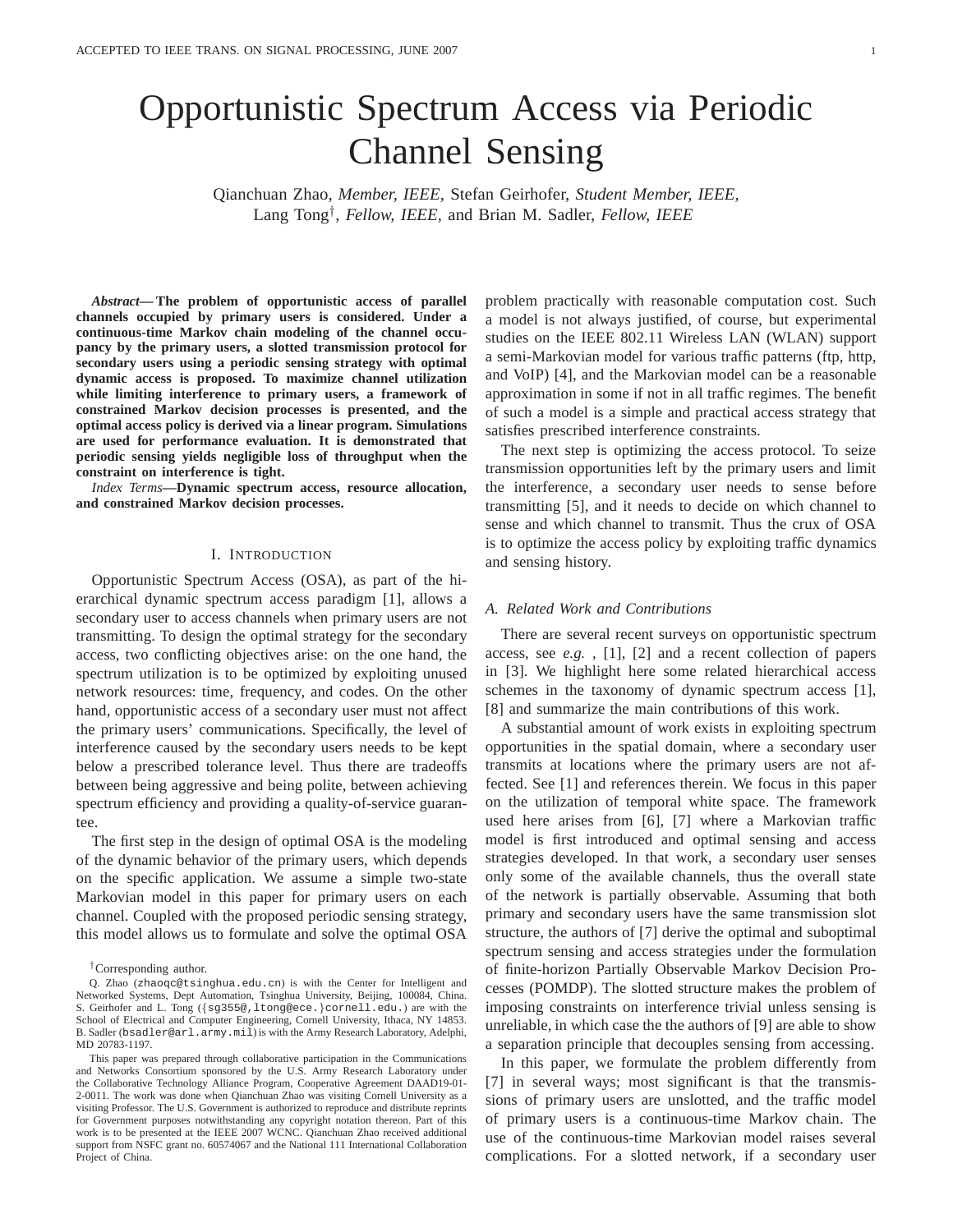# Opportunistic Spectrum Access via Periodic Channel Sensing

Qianchuan Zhao, *Member, IEEE,* Stefan Geirhofer, *Student Member, IEEE,* Lang Tong† , *Fellow, IEEE,* and Brian M. Sadler, *Fellow, IEEE*

*Abstract***— The problem of opportunistic access of parallel channels occupied by primary users is considered. Under a continuous-time Markov chain modeling of the channel occupancy by the primary users, a slotted transmission protocol for secondary users using a periodic sensing strategy with optimal dynamic access is proposed. To maximize channel utilization while limiting interference to primary users, a framework of constrained Markov decision processes is presented, and the optimal access policy is derived via a linear program. Simulations are used for performance evaluation. It is demonstrated that periodic sensing yields negligible loss of throughput when the constraint on interference is tight.**

*Index Terms***—Dynamic spectrum access, resource allocation, and constrained Markov decision processes.**

# I. INTRODUCTION

Opportunistic Spectrum Access (OSA), as part of the hierarchical dynamic spectrum access paradigm [1], allows a secondary user to access channels when primary users are not transmitting. To design the optimal strategy for the secondary access, two conflicting objectives arise: on the one hand, the spectrum utilization is to be optimized by exploiting unused network resources: time, frequency, and codes. On the other hand, opportunistic access of a secondary user must not affect the primary users' communications. Specifically, the level of interference caused by the secondary users needs to be kept below a prescribed tolerance level. Thus there are tradeoffs between being aggressive and being polite, between achieving spectrum efficiency and providing a quality-of-service guarantee.

The first step in the design of optimal OSA is the modeling of the dynamic behavior of the primary users, which depends on the specific application. We assume a simple two-state Markovian model in this paper for primary users on each channel. Coupled with the proposed periodic sensing strategy, this model allows us to formulate and solve the optimal OSA

†Corresponding author.

problem practically with reasonable computation cost. Such a model is not always justified, of course, but experimental studies on the IEEE 802.11 Wireless LAN (WLAN) support a semi-Markovian model for various traffic patterns (ftp, http, and VoIP) [4], and the Markovian model can be a reasonable approximation in some if not in all traffic regimes. The benefit of such a model is a simple and practical access strategy that satisfies prescribed interference constraints.

The next step is optimizing the access protocol. To seize transmission opportunities left by the primary users and limit the interference, a secondary user needs to sense before transmitting [5], and it needs to decide on which channel to sense and which channel to transmit. Thus the crux of OSA is to optimize the access policy by exploiting traffic dynamics and sensing history.

## *A. Related Work and Contributions*

There are several recent surveys on opportunistic spectrum access, see *e.g.* , [1], [2] and a recent collection of papers in [3]. We highlight here some related hierarchical access schemes in the taxonomy of dynamic spectrum access [1], [8] and summarize the main contributions of this work.

A substantial amount of work exists in exploiting spectrum opportunities in the spatial domain, where a secondary user transmits at locations where the primary users are not affected. See [1] and references therein. We focus in this paper on the utilization of temporal white space. The framework used here arises from [6], [7] where a Markovian traffic model is first introduced and optimal sensing and access strategies developed. In that work, a secondary user senses only some of the available channels, thus the overall state of the network is partially observable. Assuming that both primary and secondary users have the same transmission slot structure, the authors of [7] derive the optimal and suboptimal spectrum sensing and access strategies under the formulation of finite-horizon Partially Observable Markov Decision Processes (POMDP). The slotted structure makes the problem of imposing constraints on interference trivial unless sensing is unreliable, in which case the the authors of [9] are able to show a separation principle that decouples sensing from accessing.

In this paper, we formulate the problem differently from [7] in several ways; most significant is that the transmissions of primary users are unslotted, and the traffic model of primary users is a continuous-time Markov chain. The use of the continuous-time Markovian model raises several complications. For a slotted network, if a secondary user

Q. Zhao (zhaoqc@tsinghua.edu.cn) is with the Center for Intelligent and Networked Systems, Dept Automation, Tsinghua University, Beijing, 100084, China. S. Geirhofer and L. Tong ({sg355@,ltong@ece.}cornell.edu.) are with the School of Electrical and Computer Engineering, Cornell University, Ithaca, NY 14853. B. Sadler (bsadler@arl.army.mil) is with the Army Research Laboratory, Adelphi, MD 20783-1197.

This paper was prepared through collaborative participation in the Communications and Networks Consortium sponsored by the U.S. Army Research Laboratory under the Collaborative Technology Alliance Program, Cooperative Agreement DAAD19-01- 2-0011. The work was done when Qianchuan Zhao was visiting Cornell University as a visiting Professor. The U.S. Government is authorized to reproduce and distribute reprints for Government purposes notwithstanding any copyright notation thereon. Part of this work is to be presented at the IEEE 2007 WCNC. Qianchuan Zhao received additional support from NSFC grant no. 60574067 and the National 111 International Collaboration Project of China.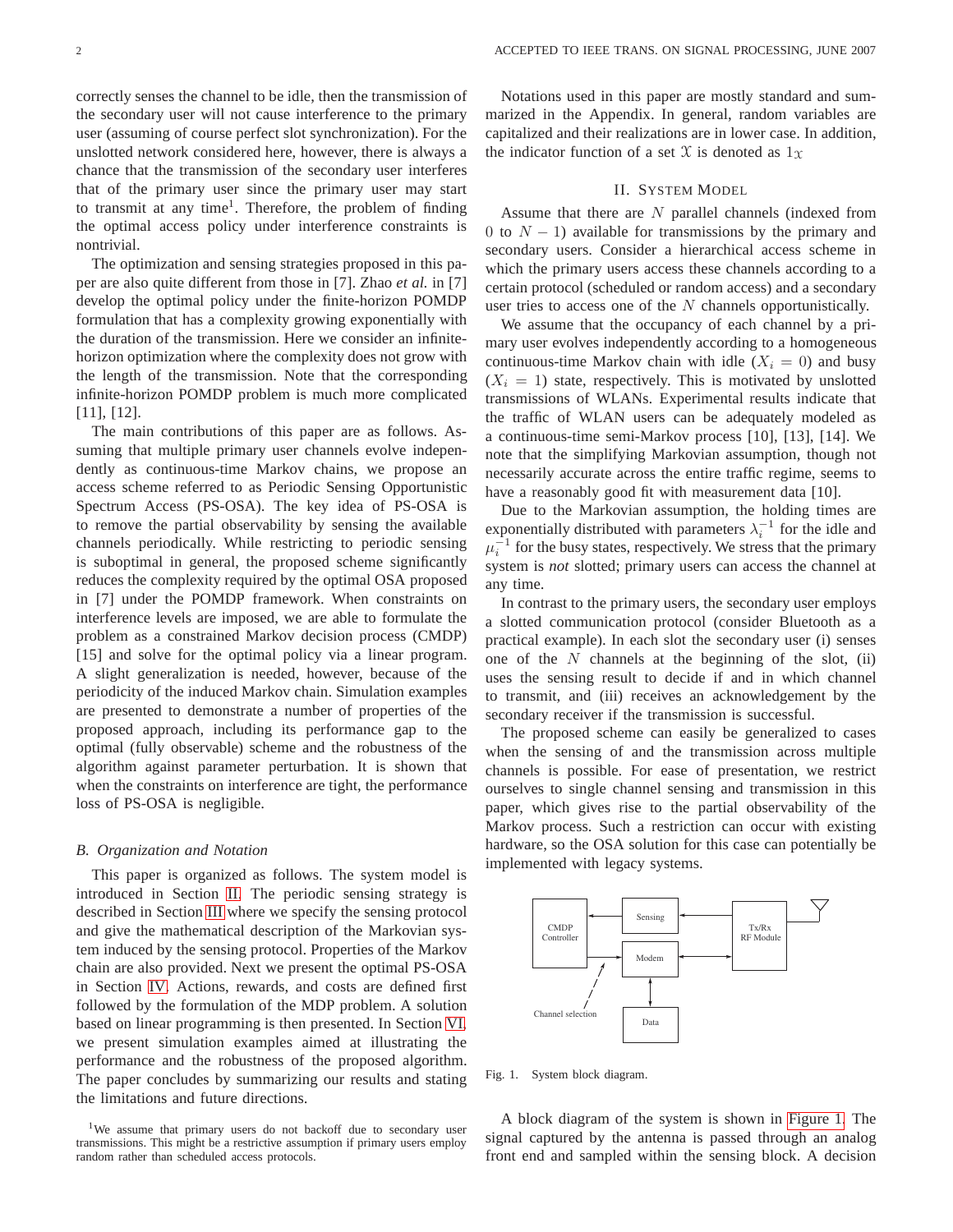correctly senses the channel to be idle, then the transmission of the secondary user will not cause interference to the primary user (assuming of course perfect slot synchronization). For the unslotted network considered here, however, there is always a chance that the transmission of the secondary user interferes that of the primary user since the primary user may start to transmit at any time<sup>1</sup>. Therefore, the problem of finding the optimal access policy under interference constraints is nontrivial.

The optimization and sensing strategies proposed in this paper are also quite different from those in [7]. Zhao *et al.* in [7] develop the optimal policy under the finite-horizon POMDP formulation that has a complexity growing exponentially with the duration of the transmission. Here we consider an infinitehorizon optimization where the complexity does not grow with the length of the transmission. Note that the corresponding infinite-horizon POMDP problem is much more complicated [11], [12].

The main contributions of this paper are as follows. Assuming that multiple primary user channels evolve independently as continuous-time Markov chains, we propose an access scheme referred to as Periodic Sensing Opportunistic Spectrum Access (PS-OSA). The key idea of PS-OSA is to remove the partial observability by sensing the available channels periodically. While restricting to periodic sensing is suboptimal in general, the proposed scheme significantly reduces the complexity required by the optimal OSA proposed in [7] under the POMDP framework. When constraints on interference levels are imposed, we are able to formulate the problem as a constrained Markov decision process (CMDP) [15] and solve for the optimal policy via a linear program. A slight generalization is needed, however, because of the periodicity of the induced Markov chain. Simulation examples are presented to demonstrate a number of properties of the proposed approach, including its performance gap to the optimal (fully observable) scheme and the robustness of the algorithm against parameter perturbation. It is shown that when the constraints on interference are tight, the performance loss of PS-OSA is negligible.

#### *B. Organization and Notation*

This paper is organized as follows. The system model is introduced in Section [II.](#page-1-0) The periodic sensing strategy is described in Section [III](#page-2-0) where we specify the sensing protocol and give the mathematical description of the Markovian system induced by the sensing protocol. Properties of the Markov chain are also provided. Next we present the optimal PS-OSA in Section [IV.](#page-3-0) Actions, rewards, and costs are defined first followed by the formulation of the MDP problem. A solution based on linear programming is then presented. In Section [VI,](#page-5-0) we present simulation examples aimed at illustrating the performance and the robustness of the proposed algorithm. The paper concludes by summarizing our results and stating the limitations and future directions.

Notations used in this paper are mostly standard and summarized in the Appendix. In general, random variables are capitalized and their realizations are in lower case. In addition, the indicator function of a set X is denoted as  $1<sub>x</sub>$ 

# II. SYSTEM MODEL

<span id="page-1-0"></span>Assume that there are  $N$  parallel channels (indexed from 0 to  $N - 1$ ) available for transmissions by the primary and secondary users. Consider a hierarchical access scheme in which the primary users access these channels according to a certain protocol (scheduled or random access) and a secondary user tries to access one of the  $N$  channels opportunistically.

We assume that the occupancy of each channel by a primary user evolves independently according to a homogeneous continuous-time Markov chain with idle  $(X_i = 0)$  and busy  $(X<sub>i</sub> = 1)$  state, respectively. This is motivated by unslotted transmissions of WLANs. Experimental results indicate that the traffic of WLAN users can be adequately modeled as a continuous-time semi-Markov process [10], [13], [14]. We note that the simplifying Markovian assumption, though not necessarily accurate across the entire traffic regime, seems to have a reasonably good fit with measurement data [10].

Due to the Markovian assumption, the holding times are exponentially distributed with parameters  $\lambda_i^{-1}$  for the idle and  $\mu_i^{-1}$  for the busy states, respectively. We stress that the primary system is *not* slotted; primary users can access the channel at any time.

In contrast to the primary users, the secondary user employs a slotted communication protocol (consider Bluetooth as a practical example). In each slot the secondary user (i) senses one of the  $N$  channels at the beginning of the slot, (ii) uses the sensing result to decide if and in which channel to transmit, and (iii) receives an acknowledgement by the secondary receiver if the transmission is successful.

The proposed scheme can easily be generalized to cases when the sensing of and the transmission across multiple channels is possible. For ease of presentation, we restrict ourselves to single channel sensing and transmission in this paper, which gives rise to the partial observability of the Markov process. Such a restriction can occur with existing hardware, so the OSA solution for this case can potentially be implemented with legacy systems.



<span id="page-1-1"></span>Fig. 1. System block diagram.

A block diagram of the system is shown in [Figure 1.](#page-1-1) The signal captured by the antenna is passed through an analog front end and sampled within the sensing block. A decision

<sup>&</sup>lt;sup>1</sup>We assume that primary users do not backoff due to secondary user transmissions. This might be a restrictive assumption if primary users employ random rather than scheduled access protocols.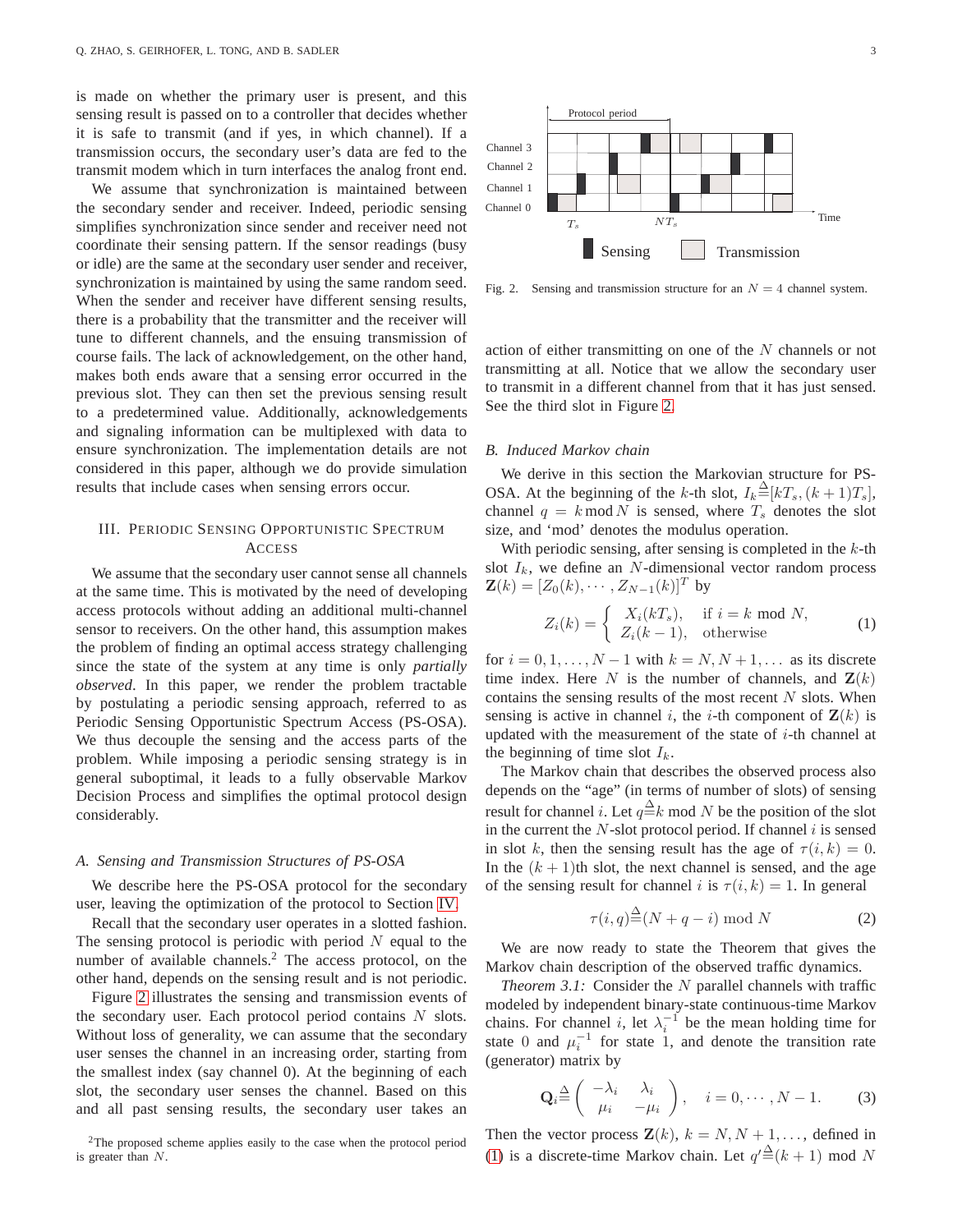is made on whether the primary user is present, and this sensing result is passed on to a controller that decides whether it is safe to transmit (and if yes, in which channel). If a transmission occurs, the secondary user's data are fed to the transmit modem which in turn interfaces the analog front end.

We assume that synchronization is maintained between the secondary sender and receiver. Indeed, periodic sensing simplifies synchronization since sender and receiver need not coordinate their sensing pattern. If the sensor readings (busy or idle) are the same at the secondary user sender and receiver, synchronization is maintained by using the same random seed. When the sender and receiver have different sensing results, there is a probability that the transmitter and the receiver will tune to different channels, and the ensuing transmission of course fails. The lack of acknowledgement, on the other hand, makes both ends aware that a sensing error occurred in the previous slot. They can then set the previous sensing result to a predetermined value. Additionally, acknowledgements and signaling information can be multiplexed with data to ensure synchronization. The implementation details are not considered in this paper, although we do provide simulation results that include cases when sensing errors occur.

# III. PERIODIC SENSING OPPORTUNISTIC SPECTRUM **ACCESS**

<span id="page-2-0"></span>We assume that the secondary user cannot sense all channels at the same time. This is motivated by the need of developing access protocols without adding an additional multi-channel sensor to receivers. On the other hand, this assumption makes the problem of finding an optimal access strategy challenging since the state of the system at any time is only *partially observed*. In this paper, we render the problem tractable by postulating a periodic sensing approach, referred to as Periodic Sensing Opportunistic Spectrum Access (PS-OSA). We thus decouple the sensing and the access parts of the problem. While imposing a periodic sensing strategy is in general suboptimal, it leads to a fully observable Markov Decision Process and simplifies the optimal protocol design considerably.

#### *A. Sensing and Transmission Structures of PS-OSA*

We describe here the PS-OSA protocol for the secondary user, leaving the optimization of the protocol to Section [IV.](#page-3-0)

Recall that the secondary user operates in a slotted fashion. The sensing protocol is periodic with period  $N$  equal to the number of available channels.<sup>2</sup> The access protocol, on the other hand, depends on the sensing result and is not periodic.

Figure [2](#page-2-1) illustrates the sensing and transmission events of the secondary user. Each protocol period contains  $N$  slots. Without loss of generality, we can assume that the secondary user senses the channel in an increasing order, starting from the smallest index (say channel 0). At the beginning of each slot, the secondary user senses the channel. Based on this and all past sensing results, the secondary user takes an



<span id="page-2-1"></span>Fig. 2. Sensing and transmission structure for an  $N = 4$  channel system.

action of either transmitting on one of the  $N$  channels or not transmitting at all. Notice that we allow the secondary user to transmit in a different channel from that it has just sensed. See the third slot in Figure [2.](#page-2-1)

#### *B. Induced Markov chain*

We derive in this section the Markovian structure for PS-OSA. At the beginning of the k-th slot,  $I_k \triangleq [kT_s, (k+1)T_s]$ , channel  $q = k \mod N$  is sensed, where  $T_s$  denotes the slot size, and 'mod' denotes the modulus operation.

With periodic sensing, after sensing is completed in the  $k$ -th slot  $I_k$ , we define an N-dimensional vector random process  $\mathbf{Z}(k) = [Z_0(k), \cdots, Z_{N-1}(k)]^T$  by

$$
Z_i(k) = \begin{cases} X_i(kT_s), & \text{if } i = k \text{ mod } N, \\ Z_i(k-1), & \text{otherwise} \end{cases}
$$
 (1)

<span id="page-2-2"></span>for  $i = 0, 1, \ldots, N - 1$  with  $k = N, N + 1, \ldots$  as its discrete time index. Here N is the number of channels, and  $\mathbf{Z}(k)$ contains the sensing results of the most recent  $N$  slots. When sensing is active in channel i, the *i*-th component of  $\mathbf{Z}(k)$  is updated with the measurement of the state of  $i$ -th channel at the beginning of time slot  $I_k$ .

The Markov chain that describes the observed process also depends on the "age" (in terms of number of slots) of sensing result for channel *i*. Let  $q \triangleq k$  mod *N* be the position of the slot in the current the  $N$ -slot protocol period. If channel  $i$  is sensed in slot k, then the sensing result has the age of  $\tau(i,k) = 0$ . In the  $(k + 1)$ th slot, the next channel is sensed, and the age of the sensing result for channel i is  $\tau(i, k) = 1$ . In general

$$
\tau(i,q) \stackrel{\Delta}{=} (N+q-i) \bmod N \tag{2}
$$

We are now ready to state the Theorem that gives the Markov chain description of the observed traffic dynamics.

<span id="page-2-3"></span>*Theorem 3.1:* Consider the N parallel channels with traffic modeled by independent binary-state continuous-time Markov chains. For channel i, let  $\lambda_i^{-1}$  be the mean holding time for chains. For channel *i*, let  $\lambda_i$  be the mean holding time for state 0 and  $\mu_i^{-1}$  for state 1, and denote the transition rate (generator) matrix by

$$
\mathbf{Q}_i \stackrel{\Delta}{=} \begin{pmatrix} -\lambda_i & \lambda_i \\ \mu_i & -\mu_i \end{pmatrix}, \quad i = 0, \cdots, N-1.
$$
 (3)

Then the vector process  $\mathbf{Z}(k)$ ,  $k = N, N + 1, \dots$ , defined in [\(1\)](#page-2-2) is a discrete-time Markov chain. Let  $q' \triangleq (k + 1) \text{ mod } N$ 

 $2$ The proposed scheme applies easily to the case when the protocol period is greater than N.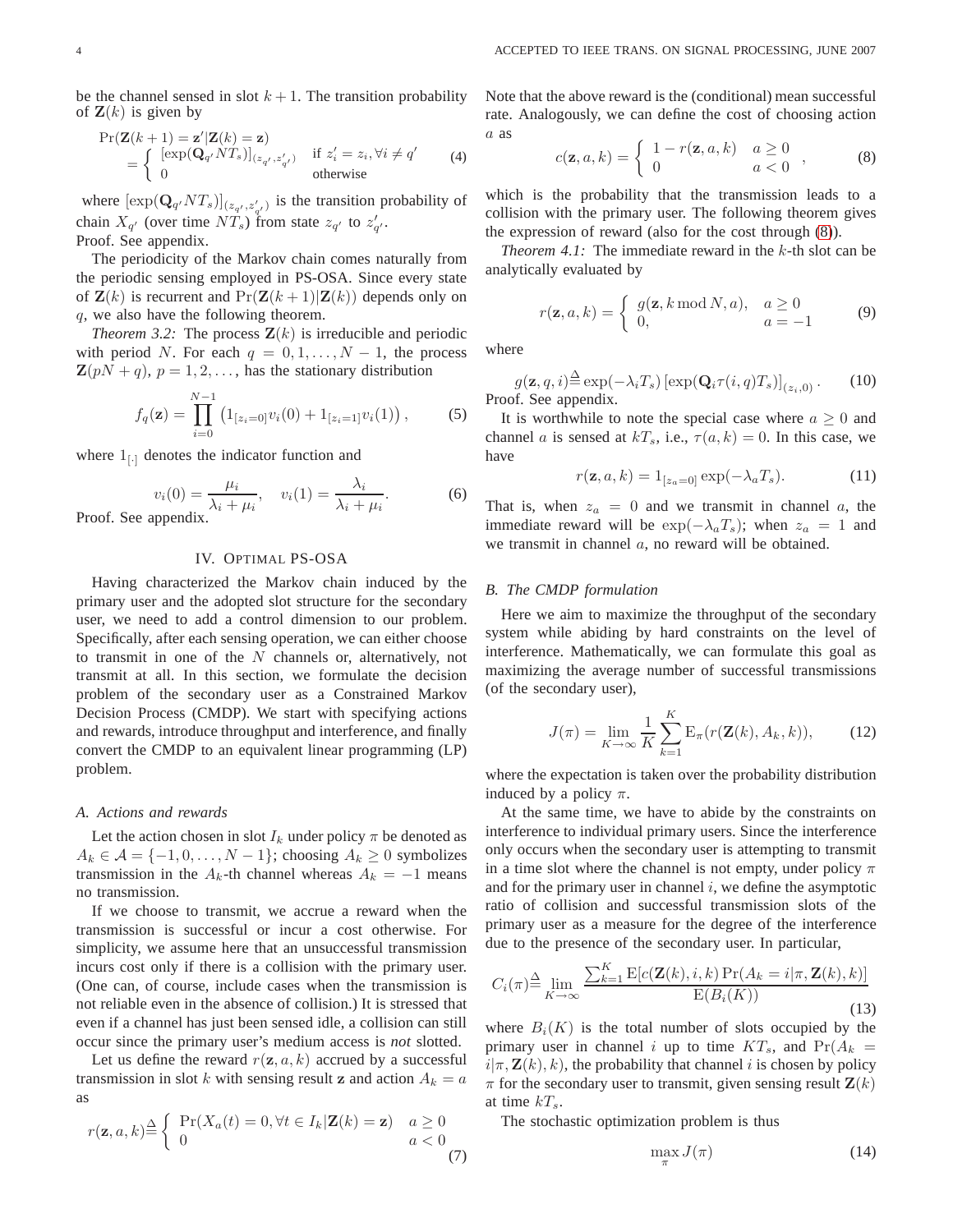be the channel sensed in slot  $k + 1$ . The transition probability of  $\mathbf{Z}(k)$  is given by

$$
\Pr(\mathbf{Z}(k+1) = \mathbf{z}'|\mathbf{Z}(k) = \mathbf{z})
$$
\n
$$
= \begin{cases}\n[\exp(\mathbf{Q}_{q'}NT_s)]_{(z_{q'}, z'_{q'})} & \text{if } z'_i = z_i, \forall i \neq q' \\
0 & \text{otherwise}\n\end{cases} (4)
$$

where  $[\exp(\mathbf{Q}_{q'}NT_s)]_{(z_{q'},z'_{q'})}$  is the transition probability of chain  $X_{q'}$  (over time  $NT_s$ ) from state  $z_{q'}$  to  $z'_{q'}$ . Proof. See appendix.

The periodicity of the Markov chain comes naturally from the periodic sensing employed in PS-OSA. Since every state of  $\mathbf{Z}(k)$  is recurrent and  $\Pr(\mathbf{Z}(k+1)|\mathbf{Z}(k))$  depends only on q, we also have the following theorem.

*Theorem 3.2:* The process  $\mathbf{Z}(k)$  is irreducible and periodic with period N. For each  $q = 0, 1, \ldots, N - 1$ , the process  $\mathbf{Z}(pN+q), p = 1, 2, \ldots$ , has the stationary distribution

<span id="page-3-4"></span>
$$
f_q(\mathbf{z}) = \prod_{i=0}^{N-1} (1_{[z_i=0]}v_i(0) + 1_{[z_i=1]}v_i(1)), \qquad (5)
$$

<span id="page-3-3"></span>where  $1_{[1]}$  denotes the indicator function and

$$
v_i(0) = \frac{\mu_i}{\lambda_i + \mu_i}, \quad v_i(1) = \frac{\lambda_i}{\lambda_i + \mu_i}.
$$
 (6)

<span id="page-3-0"></span>Proof. See appendix.

# IV. OPTIMAL PS-OSA

Having characterized the Markov chain induced by the primary user and the adopted slot structure for the secondary user, we need to add a control dimension to our problem. Specifically, after each sensing operation, we can either choose to transmit in one of the  $N$  channels or, alternatively, not transmit at all. In this section, we formulate the decision problem of the secondary user as a Constrained Markov Decision Process (CMDP). We start with specifying actions and rewards, introduce throughput and interference, and finally convert the CMDP to an equivalent linear programming (LP) problem.

#### *A. Actions and rewards*

Let the action chosen in slot  $I_k$  under policy  $\pi$  be denoted as  $A_k \in \mathcal{A} = \{-1, 0, \ldots, N-1\}$ ; choosing  $A_k \geq 0$  symbolizes transmission in the  $A_k$ -th channel whereas  $A_k = -1$  means no transmission.

If we choose to transmit, we accrue a reward when the transmission is successful or incur a cost otherwise. For simplicity, we assume here that an unsuccessful transmission incurs cost only if there is a collision with the primary user. (One can, of course, include cases when the transmission is not reliable even in the absence of collision.) It is stressed that even if a channel has just been sensed idle, a collision can still occur since the primary user's medium access is *not* slotted.

Let us define the reward  $r(\mathbf{z}, a, k)$  accrued by a successful transmission in slot k with sensing result z and action  $A_k = a$ as

$$
r(\mathbf{z}, a, k) \stackrel{\Delta}{=} \begin{cases} \Pr(X_a(t) = 0, \forall t \in I_k | \mathbf{Z}(k) = \mathbf{z}) & a \ge 0 \\ 0 & a < 0 \end{cases} \tag{7}
$$

Note that the above reward is the (conditional) mean successful rate. Analogously, we can define the cost of choosing action a as

$$
c(\mathbf{z}, a, k) = \begin{cases} 1 - r(\mathbf{z}, a, k) & a \ge 0 \\ 0 & a < 0 \end{cases}, \quad (8)
$$

<span id="page-3-1"></span>which is the probability that the transmission leads to a collision with the primary user. The following theorem gives the expression of reward (also for the cost through [\(8\)](#page-3-1)).

<span id="page-3-5"></span>*Theorem 4.1:* The immediate reward in the k-th slot can be analytically evaluated by

$$
r(\mathbf{z}, a, k) = \begin{cases} g(\mathbf{z}, k \mod N, a), & a \ge 0 \\ 0, & a = -1 \end{cases}
$$
 (9)

where

$$
g(\mathbf{z}, q, i) \stackrel{\Delta}{=} \exp(-\lambda_i T_s) \left[ \exp(\mathbf{Q}_i \tau(i, q) T_s) \right]_{(z_i, 0)}.
$$
 (10)  
Proof. See appendix.

It is worthwhile to note the special case where  $a \geq 0$  and channel a is sensed at  $kT_s$ , i.e.,  $\tau(a, k) = 0$ . In this case, we have

$$
r(\mathbf{z}, a, k) = 1_{[z_a=0]} \exp(-\lambda_a T_s). \tag{11}
$$

That is, when  $z_a = 0$  and we transmit in channel a, the immediate reward will be  $\exp(-\lambda_a T_s)$ ; when  $z_a = 1$  and we transmit in channel a, no reward will be obtained.

## *B. The CMDP formulation*

Here we aim to maximize the throughput of the secondary system while abiding by hard constraints on the level of interference. Mathematically, we can formulate this goal as maximizing the average number of successful transmissions (of the secondary user),

$$
J(\pi) = \lim_{K \to \infty} \frac{1}{K} \sum_{k=1}^{K} \mathcal{E}_{\pi}(r(\mathbf{Z}(k), A_k, k)), \qquad (12)
$$

where the expectation is taken over the probability distribution induced by a policy  $\pi$ .

At the same time, we have to abide by the constraints on interference to individual primary users. Since the interference only occurs when the secondary user is attempting to transmit in a time slot where the channel is not empty, under policy  $\pi$ and for the primary user in channel  $i$ , we define the asymptotic ratio of collision and successful transmission slots of the primary user as a measure for the degree of the interference due to the presence of the secondary user. In particular,

$$
C_i(\pi) \stackrel{\Delta}{=} \lim_{K \to \infty} \frac{\sum_{k=1}^K \mathbb{E}[c(\mathbf{Z}(k), i, k) \Pr(A_k = i | \pi, \mathbf{Z}(k), k)]}{\mathbb{E}(B_i(K))}
$$
\n(13)

where  $B_i(K)$  is the total number of slots occupied by the primary user in channel i up to time  $KT_s$ , and  $Pr(A_k =$  $i|\pi, \mathbf{Z}(k), k$ , the probability that channel i is chosen by policy  $\pi$  for the secondary user to transmit, given sensing result  $\mathbf{Z}(k)$ at time  $kT_s$ .

<span id="page-3-2"></span>The stochastic optimization problem is thus

$$
\max_{\pi} J(\pi) \tag{14}
$$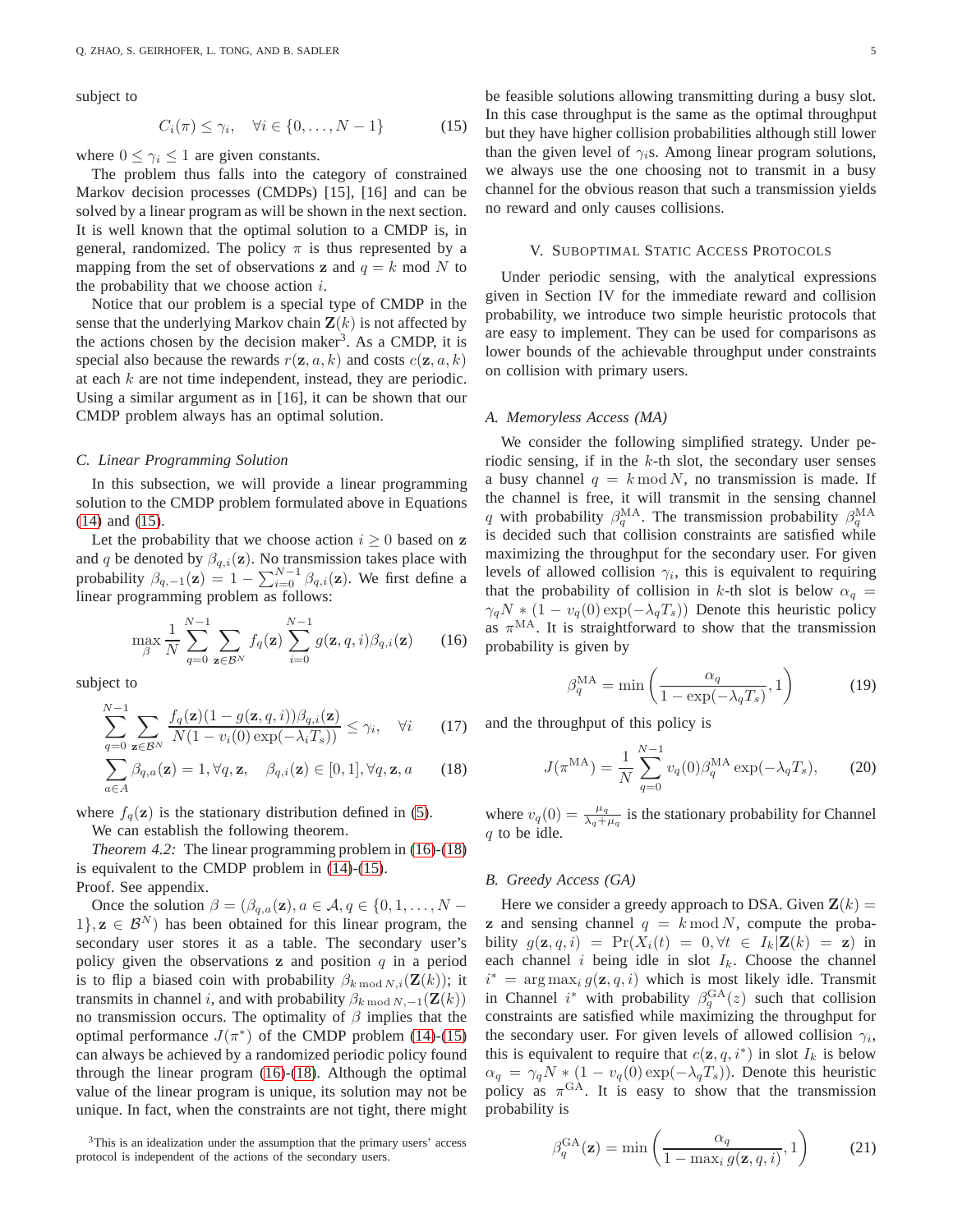<span id="page-4-0"></span>subject to

$$
C_i(\pi) \le \gamma_i, \quad \forall i \in \{0, \dots, N-1\}
$$
 (15)

where  $0 \leq \gamma_i \leq 1$  are given constants.

The problem thus falls into the category of constrained Markov decision processes (CMDPs) [15], [16] and can be solved by a linear program as will be shown in the next section. It is well known that the optimal solution to a CMDP is, in general, randomized. The policy  $\pi$  is thus represented by a mapping from the set of observations **z** and  $q = k \text{ mod } N$  to the probability that we choose action  $i$ .

Notice that our problem is a special type of CMDP in the sense that the underlying Markov chain  $\mathbf{Z}(k)$  is not affected by the actions chosen by the decision maker<sup>3</sup>. As a CMDP, it is special also because the rewards  $r(\mathbf{z}, a, k)$  and costs  $c(\mathbf{z}, a, k)$ at each  $k$  are not time independent, instead, they are periodic. Using a similar argument as in [16], it can be shown that our CMDP problem always has an optimal solution.

# *C. Linear Programming Solution*

In this subsection, we will provide a linear programming solution to the CMDP problem formulated above in Equations [\(14\)](#page-3-2) and [\(15\)](#page-4-0).

Let the probability that we choose action  $i \geq 0$  based on z and q be denoted by  $\beta_{q,i}(\mathbf{z})$ . No transmission takes place with probability  $\beta_{q,-1}(\mathbf{z}) = 1 - \sum_{i=0}^{N-1} \beta_{q,i}(\mathbf{z})$ . We first define a linear programming problem as follows:

$$
\max_{\beta} \frac{1}{N} \sum_{q=0}^{N-1} \sum_{\mathbf{z} \in \mathcal{B}^N} f_q(\mathbf{z}) \sum_{i=0}^{N-1} g(\mathbf{z}, q, i) \beta_{q,i}(\mathbf{z}) \qquad (16)
$$

<span id="page-4-2"></span><span id="page-4-1"></span>subject to

$$
\sum_{q=0}^{N-1} \sum_{\mathbf{z} \in \mathcal{B}^N} \frac{f_q(\mathbf{z})(1 - g(\mathbf{z}, q, i))\beta_{q,i}(\mathbf{z})}{N(1 - v_i(0) \exp(-\lambda_i T_s))} \le \gamma_i, \quad \forall i \qquad (17)
$$

$$
\sum_{a \in A} \beta_{q,a}(\mathbf{z}) = 1, \forall q, \mathbf{z}, \quad \beta_{q,i}(\mathbf{z}) \in [0, 1], \forall q, \mathbf{z}, a \qquad (18)
$$

where  $f_q(z)$  is the stationary distribution defined in [\(5\)](#page-3-3).

<span id="page-4-4"></span>We can establish the following theorem.

*Theorem 4.2:* The linear programming problem in [\(16\)](#page-4-1)-[\(18\)](#page-4-2) is equivalent to the CMDP problem in [\(14\)](#page-3-2)-[\(15\)](#page-4-0). Proof. See appendix.

Once the solution  $\beta = (\beta_{q,a}(\mathbf{z}), a \in \mathcal{A}, q \in \{0, 1, \dots, N - \}$  $1$ ,  $z \in \mathcal{B}^{N}$ ) has been obtained for this linear program, the secondary user stores it as a table. The secondary user's policy given the observations z and position  $q$  in a period is to flip a biased coin with probability  $\beta_{k \mod N,i}(\mathbf{Z}(k))$ ; it transmits in channel i, and with probability  $\beta_{k \bmod N,-1}(\mathbf{Z}(k))$ no transmission occurs. The optimality of  $\beta$  implies that the optimal performance  $J(\pi^*)$  of the CMDP problem [\(14\)](#page-3-2)-[\(15\)](#page-4-0) can always be achieved by a randomized periodic policy found through the linear program [\(16\)](#page-4-1)-[\(18\)](#page-4-2). Although the optimal value of the linear program is unique, its solution may not be unique. In fact, when the constraints are not tight, there might be feasible solutions allowing transmitting during a busy slot. In this case throughput is the same as the optimal throughput but they have higher collision probabilities although still lower than the given level of  $\gamma_i$ s. Among linear program solutions, we always use the one choosing not to transmit in a busy channel for the obvious reason that such a transmission yields no reward and only causes collisions.

# V. SUBOPTIMAL STATIC ACCESS PROTOCOLS

<span id="page-4-3"></span>Under periodic sensing, with the analytical expressions given in Section IV for the immediate reward and collision probability, we introduce two simple heuristic protocols that are easy to implement. They can be used for comparisons as lower bounds of the achievable throughput under constraints on collision with primary users.

#### *A. Memoryless Access (MA)*

We consider the following simplified strategy. Under periodic sensing, if in the  $k$ -th slot, the secondary user senses a busy channel  $q = k \mod N$ , no transmission is made. If the channel is free, it will transmit in the sensing channel q with probability  $\beta_q^{\text{MA}}$ . The transmission probability  $\beta_q^{\text{MA}}$ is decided such that collision constraints are satisfied while maximizing the throughput for the secondary user. For given levels of allowed collision  $\gamma_i$ , this is equivalent to requiring that the probability of collision in k-th slot is below  $\alpha_q =$  $\gamma_q N * (1 - v_q(0) \exp(-\lambda_q T_s))$  Denote this heuristic policy as  $\pi$ <sup>MA</sup>. It is straightforward to show that the transmission probability is given by

$$
\beta_q^{\text{MA}} = \min\left(\frac{\alpha_q}{1 - \exp(-\lambda_q T_s)}, 1\right) \tag{19}
$$

and the throughput of this policy is

$$
(\pi^{\text{MA}}) = \frac{1}{N} \sum_{q=0}^{N-1} v_q(0) \beta_q^{\text{MA}} \exp(-\lambda_q T_s), \qquad (20)
$$

where  $v_q(0) = \frac{\mu_q}{\lambda_q + \mu_q}$  is the stationary probability for Channel  $q$  to be idle.

## *B. Greedy Access (GA)*

 $J$ 

Here we consider a greedy approach to DSA. Given  $\mathbf{Z}(k) =$ z and sensing channel  $q = k \mod N$ , compute the probability  $g(\mathbf{z}, q, i) = \Pr(X_i(t) = 0, \forall t \in I_k | \mathbf{Z}(k) = \mathbf{z})$  in each channel  $i$  being idle in slot  $I_k$ . Choose the channel  $i^* = \arg \max_i g(\mathbf{z}, q, i)$  which is most likely idle. Transmit in Channel i\* with probability  $\beta_q^{\text{GA}}(z)$  such that collision constraints are satisfied while maximizing the throughput for the secondary user. For given levels of allowed collision  $\gamma_i$ , this is equivalent to require that  $c(\mathbf{z}, q, i^*)$  in slot  $I_k$  is below  $\alpha_q = \gamma_q N * (1 - v_q(0) \exp(-\lambda_q T_s))$ . Denote this heuristic policy as  $\pi$ <sup>GA</sup>. It is easy to show that the transmission probability is

$$
\beta_q^{\text{GA}}(\mathbf{z}) = \min\left(\frac{\alpha_q}{1 - \max_i g(\mathbf{z}, q, i)}, 1\right) \tag{21}
$$

 $3$ This is an idealization under the assumption that the primary users' access protocol is independent of the actions of the secondary users.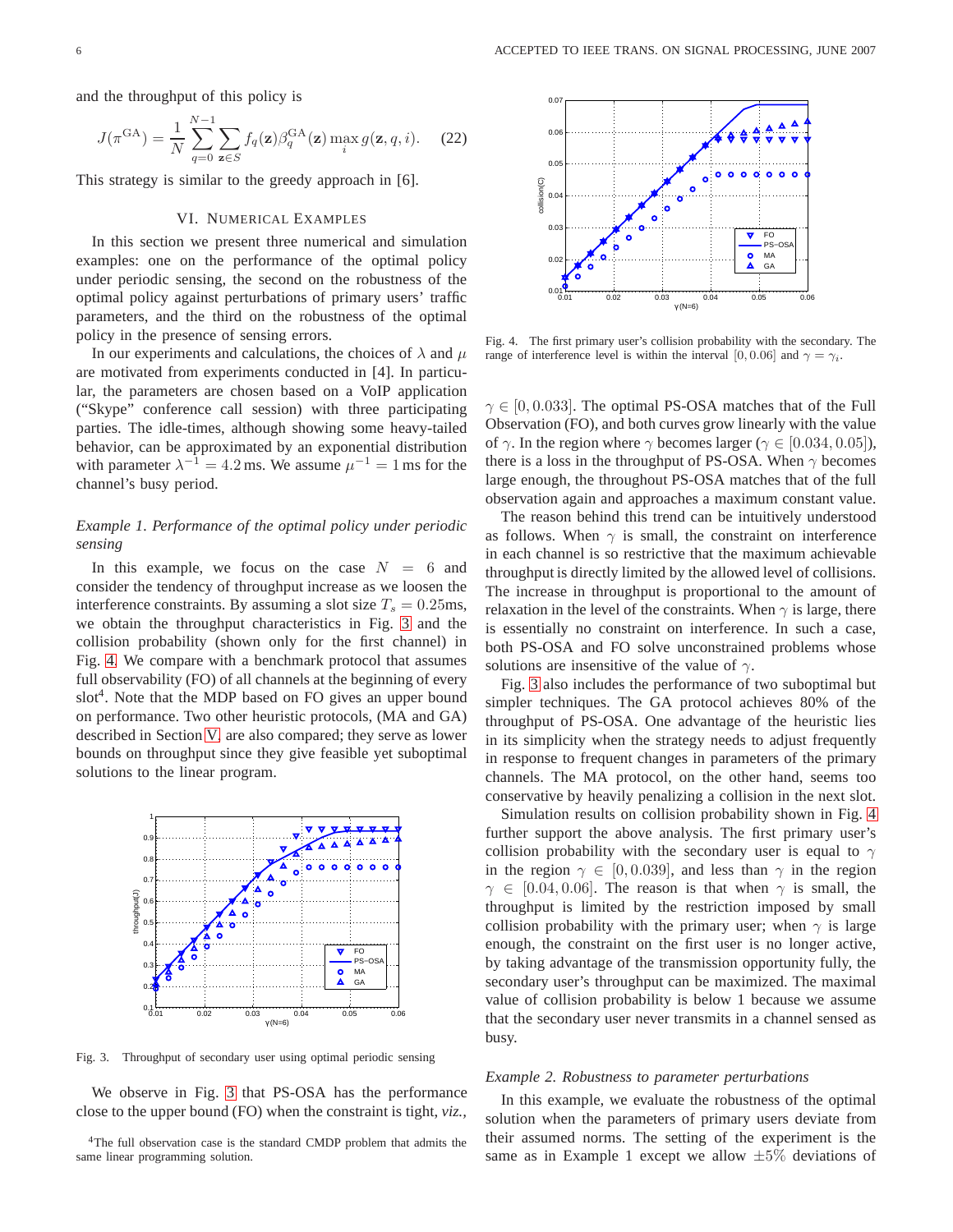and the throughput of this policy is

$$
J(\pi^{\text{GA}}) = \frac{1}{N} \sum_{q=0}^{N-1} \sum_{\mathbf{z} \in S} f_q(\mathbf{z}) \beta_q^{\text{GA}}(\mathbf{z}) \max_i g(\mathbf{z}, q, i).
$$
 (22)

<span id="page-5-0"></span>This strategy is similar to the greedy approach in [6].

#### VI. NUMERICAL EXAMPLES

In this section we present three numerical and simulation examples: one on the performance of the optimal policy under periodic sensing, the second on the robustness of the optimal policy against perturbations of primary users' traffic parameters, and the third on the robustness of the optimal policy in the presence of sensing errors.

In our experiments and calculations, the choices of  $\lambda$  and  $\mu$ are motivated from experiments conducted in [4]. In particular, the parameters are chosen based on a VoIP application ("Skype" conference call session) with three participating parties. The idle-times, although showing some heavy-tailed behavior, can be approximated by an exponential distribution with parameter  $\lambda^{-1} = 4.2$  ms. We assume  $\mu^{-1} = 1$  ms for the channel's busy period.

# *Example 1. Performance of the optimal policy under periodic sensing*

In this example, we focus on the case  $N = 6$  and consider the tendency of throughput increase as we loosen the interference constraints. By assuming a slot size  $T_s = 0.25$ ms, we obtain the throughput characteristics in Fig. [3](#page-5-1) and the collision probability (shown only for the first channel) in Fig. [4.](#page-5-2) We compare with a benchmark protocol that assumes full observability (FO) of all channels at the beginning of every slot<sup>4</sup>. Note that the MDP based on FO gives an upper bound on performance. Two other heuristic protocols, (MA and GA) described in Section [V,](#page-4-3) are also compared; they serve as lower bounds on throughput since they give feasible yet suboptimal solutions to the linear program.



<span id="page-5-1"></span>Fig. 3. Throughput of secondary user using optimal periodic sensing

We observe in Fig. [3](#page-5-1) that PS-OSA has the performance close to the upper bound (FO) when the constraint is tight, *viz.,*



<span id="page-5-2"></span>Fig. 4. The first primary user's collision probability with the secondary. The range of interference level is within the interval [0, 0.06] and  $\gamma = \gamma_i$ .

 $\gamma \in [0, 0.033]$ . The optimal PS-OSA matches that of the Full Observation (FO), and both curves grow linearly with the value of  $\gamma$ . In the region where  $\gamma$  becomes larger ( $\gamma \in [0.034, 0.05]$ ), there is a loss in the throughput of PS-OSA. When  $\gamma$  becomes large enough, the throughout PS-OSA matches that of the full observation again and approaches a maximum constant value.

The reason behind this trend can be intuitively understood as follows. When  $\gamma$  is small, the constraint on interference in each channel is so restrictive that the maximum achievable throughput is directly limited by the allowed level of collisions. The increase in throughput is proportional to the amount of relaxation in the level of the constraints. When  $\gamma$  is large, there is essentially no constraint on interference. In such a case, both PS-OSA and FO solve unconstrained problems whose solutions are insensitive of the value of  $\gamma$ .

Fig. [3](#page-5-1) also includes the performance of two suboptimal but simpler techniques. The GA protocol achieves 80% of the throughput of PS-OSA. One advantage of the heuristic lies in its simplicity when the strategy needs to adjust frequently in response to frequent changes in parameters of the primary channels. The MA protocol, on the other hand, seems too conservative by heavily penalizing a collision in the next slot.

Simulation results on collision probability shown in Fig. [4](#page-5-2) further support the above analysis. The first primary user's collision probability with the secondary user is equal to  $\gamma$ in the region  $\gamma \in [0, 0.039]$ , and less than  $\gamma$  in the region  $\gamma \in [0.04, 0.06]$ . The reason is that when  $\gamma$  is small, the throughput is limited by the restriction imposed by small collision probability with the primary user; when  $\gamma$  is large enough, the constraint on the first user is no longer active, by taking advantage of the transmission opportunity fully, the secondary user's throughput can be maximized. The maximal value of collision probability is below 1 because we assume that the secondary user never transmits in a channel sensed as busy.

# *Example 2. Robustness to parameter perturbations*

In this example, we evaluate the robustness of the optimal solution when the parameters of primary users deviate from their assumed norms. The setting of the experiment is the same as in Example 1 except we allow  $\pm 5\%$  deviations of

<sup>&</sup>lt;sup>4</sup>The full observation case is the standard CMDP problem that admits the same linear programming solution.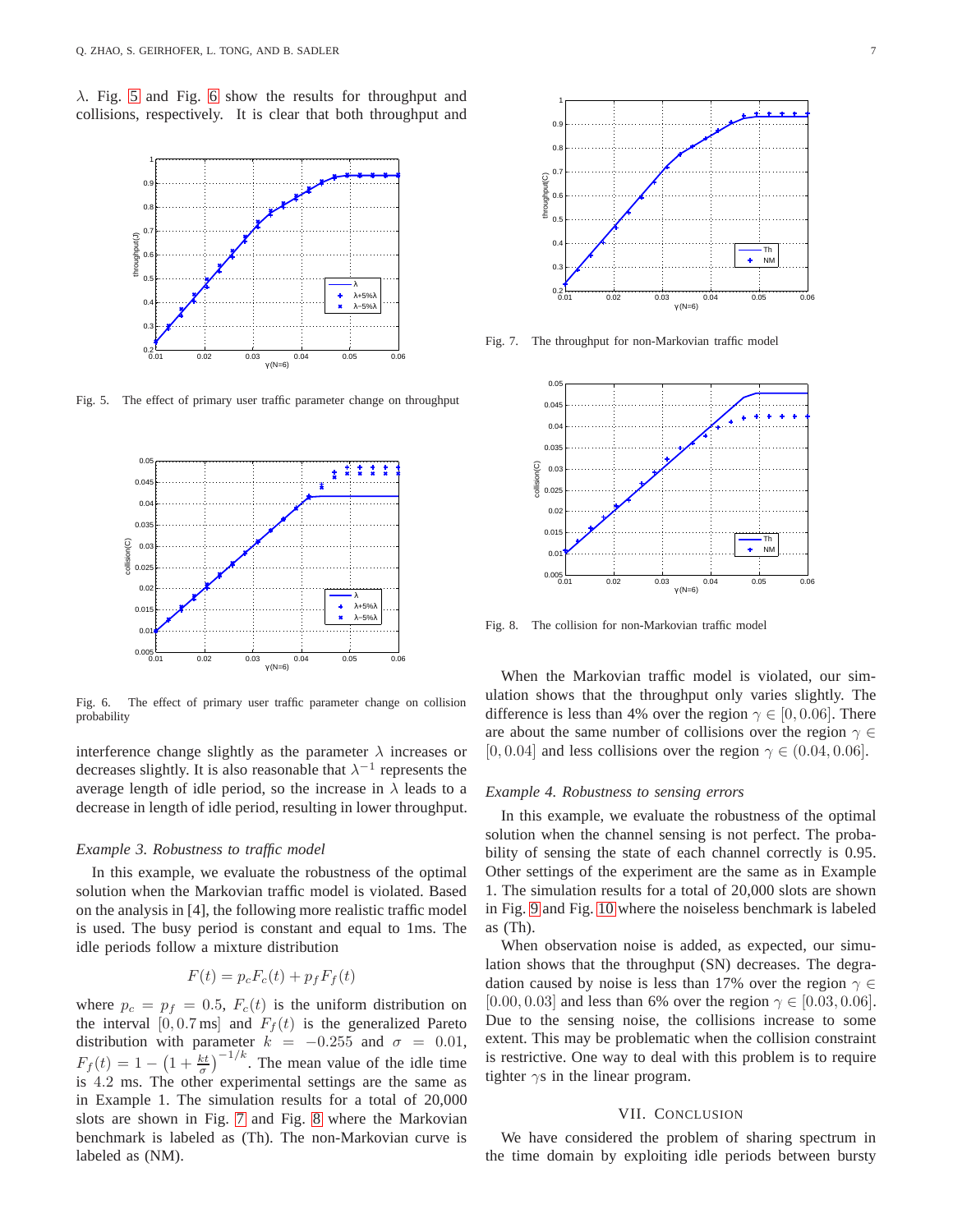$\lambda$ . Fig. [5](#page-6-0) and Fig. [6](#page-6-1) show the results for throughput and collisions, respectively. It is clear that both throughput and



<span id="page-6-0"></span>Fig. 5. The effect of primary user traffic parameter change on throughput



<span id="page-6-1"></span>Fig. 6. The effect of primary user traffic parameter change on collision probability

interference change slightly as the parameter  $\lambda$  increases or decreases slightly. It is also reasonable that  $\lambda^{-1}$  represents the average length of idle period, so the increase in  $\lambda$  leads to a decrease in length of idle period, resulting in lower throughput.

#### *Example 3. Robustness to traffic model*

In this example, we evaluate the robustness of the optimal solution when the Markovian traffic model is violated. Based on the analysis in [4], the following more realistic traffic model is used. The busy period is constant and equal to 1ms. The idle periods follow a mixture distribution

$$
F(t) = p_c F_c(t) + p_f F_f(t)
$$

where  $p_c = p_f = 0.5$ ,  $F_c(t)$  is the uniform distribution on the interval [0, 0.7 ms] and  $F_f(t)$  is the generalized Pareto distribution with parameter  $k = -0.255$  and  $\sigma = 0.01$ ,  $F_f(t) = 1 - \left(1 + \frac{kt}{\sigma}\right)^{-1/k}$ . The mean value of the idle time is 4.2 ms. The other experimental settings are the same as in Example 1. The simulation results for a total of 20,000 slots are shown in Fig. [7](#page-6-2) and Fig. [8](#page-6-3) where the Markovian benchmark is labeled as (Th). The non-Markovian curve is labeled as (NM).



<span id="page-6-2"></span>Fig. 7. The throughput for non-Markovian traffic model



<span id="page-6-3"></span>Fig. 8. The collision for non-Markovian traffic model

When the Markovian traffic model is violated, our simulation shows that the throughput only varies slightly. The difference is less than 4% over the region  $\gamma \in [0, 0.06]$ . There are about the same number of collisions over the region  $\gamma \in$ [0, 0.04] and less collisions over the region  $\gamma \in (0.04, 0.06]$ .

## *Example 4. Robustness to sensing errors*

In this example, we evaluate the robustness of the optimal solution when the channel sensing is not perfect. The probability of sensing the state of each channel correctly is 0.95. Other settings of the experiment are the same as in Example 1. The simulation results for a total of 20,000 slots are shown in Fig. [9](#page-7-0) and Fig. [10](#page-7-1) where the noiseless benchmark is labeled as (Th).

When observation noise is added, as expected, our simulation shows that the throughput (SN) decreases. The degradation caused by noise is less than 17% over the region  $\gamma \in$ [0.00, 0.03] and less than 6% over the region  $\gamma \in [0.03, 0.06]$ . Due to the sensing noise, the collisions increase to some extent. This may be problematic when the collision constraint is restrictive. One way to deal with this problem is to require tighter  $\gamma s$  in the linear program.

#### VII. CONCLUSION

We have considered the problem of sharing spectrum in the time domain by exploiting idle periods between bursty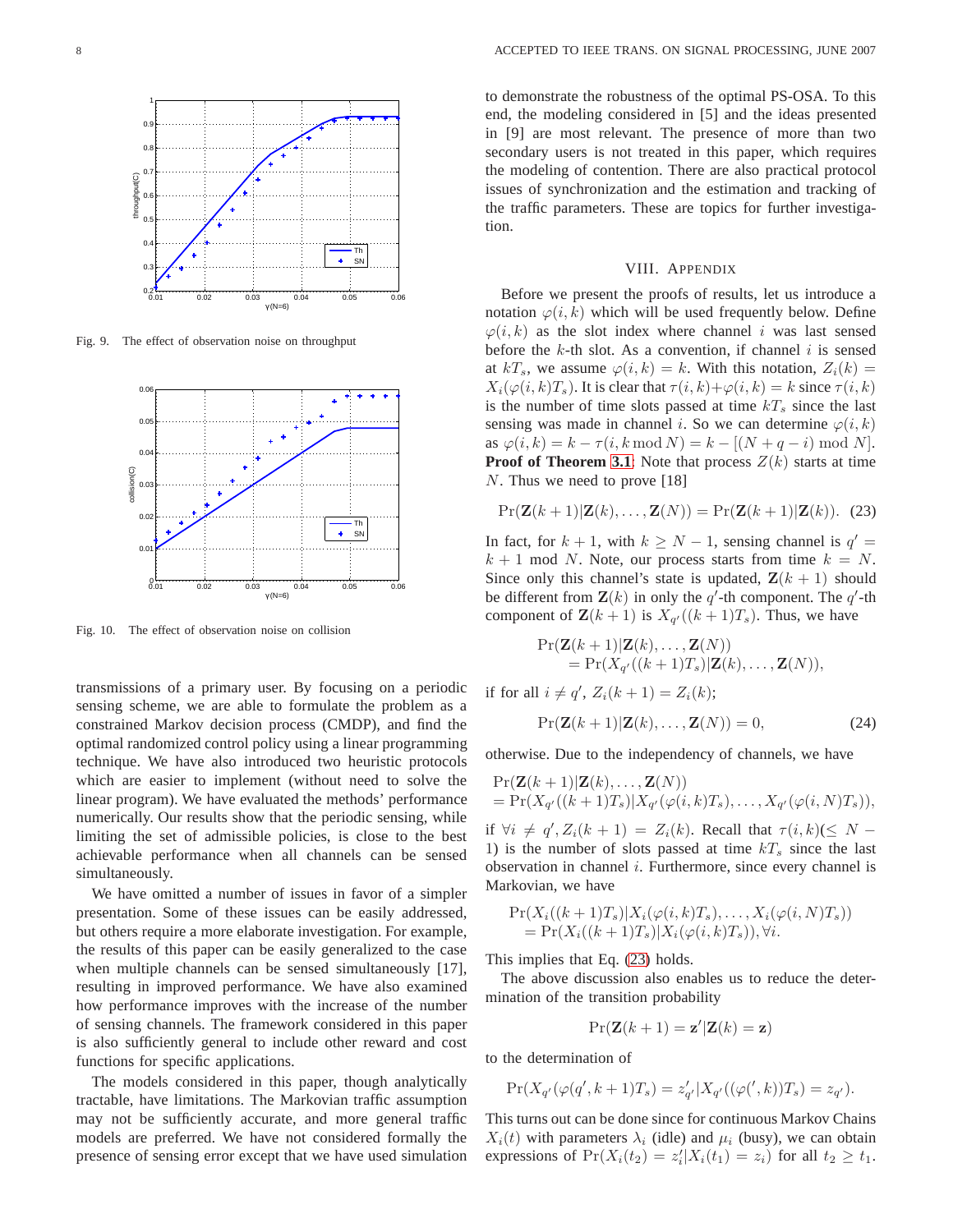

<span id="page-7-0"></span>Fig. 9. The effect of observation noise on throughput



<span id="page-7-1"></span>Fig. 10. The effect of observation noise on collision

transmissions of a primary user. By focusing on a periodic sensing scheme, we are able to formulate the problem as a constrained Markov decision process (CMDP), and find the optimal randomized control policy using a linear programming technique. We have also introduced two heuristic protocols which are easier to implement (without need to solve the linear program). We have evaluated the methods' performance numerically. Our results show that the periodic sensing, while limiting the set of admissible policies, is close to the best achievable performance when all channels can be sensed simultaneously.

We have omitted a number of issues in favor of a simpler presentation. Some of these issues can be easily addressed, but others require a more elaborate investigation. For example, the results of this paper can be easily generalized to the case when multiple channels can be sensed simultaneously [17], resulting in improved performance. We have also examined how performance improves with the increase of the number of sensing channels. The framework considered in this paper is also sufficiently general to include other reward and cost functions for specific applications.

The models considered in this paper, though analytically tractable, have limitations. The Markovian traffic assumption may not be sufficiently accurate, and more general traffic models are preferred. We have not considered formally the presence of sensing error except that we have used simulation to demonstrate the robustness of the optimal PS-OSA. To this end, the modeling considered in [5] and the ideas presented in [9] are most relevant. The presence of more than two secondary users is not treated in this paper, which requires the modeling of contention. There are also practical protocol issues of synchronization and the estimation and tracking of the traffic parameters. These are topics for further investigation.

#### VIII. APPENDIX

Before we present the proofs of results, let us introduce a notation  $\varphi(i, k)$  which will be used frequently below. Define  $\varphi(i, k)$  as the slot index where channel i was last sensed before the  $k$ -th slot. As a convention, if channel  $i$  is sensed at  $kT_s$ , we assume  $\varphi(i, k) = k$ . With this notation,  $Z_i(k) =$  $X_i(\varphi(i,k)T_s)$ . It is clear that  $\tau(i,k)+\varphi(i,k) = k$  since  $\tau(i,k)$ is the number of time slots passed at time  $kT<sub>s</sub>$  since the last sensing was made in channel i. So we can determine  $\varphi(i, k)$ as  $\varphi(i,k) = k - \tau(i,k \mod N) = k - [(N+q-i) \mod N].$ **Proof of Theorem [3.1](#page-2-3)**: Note that process  $Z(k)$  starts at time N. Thus we need to prove [18]

$$
Pr(\mathbf{Z}(k+1)|\mathbf{Z}(k),\ldots,\mathbf{Z}(N)) = Pr(\mathbf{Z}(k+1)|\mathbf{Z}(k)).
$$
 (23)

<span id="page-7-2"></span>In fact, for  $k + 1$ , with  $k \ge N - 1$ , sensing channel is  $q' =$  $k + 1$  mod N. Note, our process starts from time  $k = N$ . Since only this channel's state is updated,  $\mathbf{Z}(k+1)$  should be different from  $\mathbf{Z}(k)$  in only the q'-th component. The q'-th component of  $\mathbf{Z}(k+1)$  is  $X_{q'}((k+1)T_s)$ . Thus, we have

$$
\Pr(\mathbf{Z}(k+1)|\mathbf{Z}(k),\ldots,\mathbf{Z}(N))\\=\Pr(X_{q'}((k+1)T_s)|\mathbf{Z}(k),\ldots,\mathbf{Z}(N)),
$$

if for all  $i \neq q'$ ,  $Z_i(k + 1) = Z_i(k);$ 

$$
Pr(\mathbf{Z}(k+1)|\mathbf{Z}(k),\ldots,\mathbf{Z}(N))=0,
$$
\n(24)

otherwise. Due to the independency of channels, we have

$$
\Pr(\mathbf{Z}(k+1)|\mathbf{Z}(k),\ldots,\mathbf{Z}(N))
$$
  
= 
$$
\Pr(X_{q'}((k+1)T_s)|X_{q'}(\varphi(i,k)T_s),\ldots,X_{q'}(\varphi(i,N)T_s)),
$$

if  $\forall i \neq q', Z_i(k+1) = Z_i(k)$ . Recall that  $\tau(i,k) \leq N -$ 1) is the number of slots passed at time  $kT<sub>s</sub>$  since the last observation in channel  $i$ . Furthermore, since every channel is Markovian, we have

$$
\Pr(X_i((k+1)T_s)|X_i(\varphi(i,k)T_s),\ldots,X_i(\varphi(i,N)T_s))
$$
  
= 
$$
\Pr(X_i((k+1)T_s)|X_i(\varphi(i,k)T_s)),\forall i.
$$

This implies that Eq. [\(23\)](#page-7-2) holds.

The above discussion also enables us to reduce the determination of the transition probability

$$
Pr(\mathbf{Z}(k+1) = \mathbf{z}'|\mathbf{Z}(k) = \mathbf{z})
$$

to the determination of

$$
Pr(X_{q'}(\varphi(q',k+1)T_s) = z'_{q'}|X_{q'}((\varphi(',k))T_s) = z_{q'}).
$$

This turns out can be done since for continuous Markov Chains  $X_i(t)$  with parameters  $\lambda_i$  (idle) and  $\mu_i$  (busy), we can obtain expressions of  $Pr(X_i(t_2) = z'_i | X_i(t_1) = z_i)$  for all  $t_2 \ge t_1$ .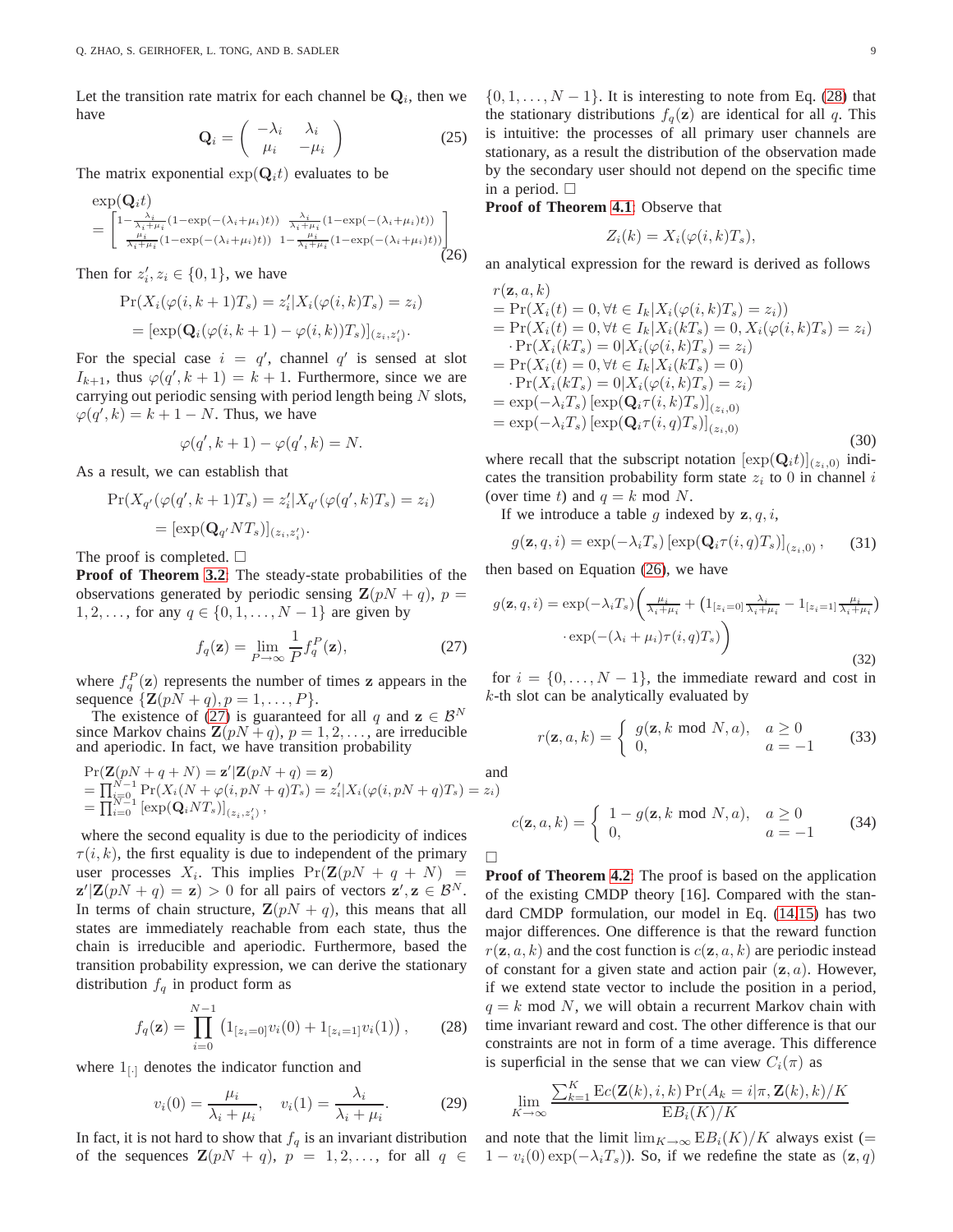Let the transition rate matrix for each channel be  $Q_i$ , then we have

$$
\mathbf{Q}_i = \begin{pmatrix} -\lambda_i & \lambda_i \\ \mu_i & -\mu_i \end{pmatrix} \tag{25}
$$

<span id="page-8-2"></span>The matrix exponential  $\exp(\mathbf{Q}_i t)$  evaluates to be

$$
\exp(\mathbf{Q}_i t) = \begin{bmatrix} \frac{\lambda_i}{\lambda_i + \mu_i} (1 - \exp(-(\lambda_i + \mu_i)t)) & \frac{\lambda_i}{\lambda_i + \mu_i} (1 - \exp(-(\lambda_i + \mu_i)t)) \\ \frac{\mu_i}{\lambda_i + \mu_i} (1 - \exp(-(\lambda_i + \mu_i)t)) & 1 - \frac{\mu_i}{\lambda_i + \mu_i} (1 - \exp(-(\lambda_i + \mu_i)t)) \end{bmatrix}
$$
\n(26)

Then for  $z'_i, z_i \in \{0, 1\}$ , we have

$$
Pr(X_i(\varphi(i, k+1)T_s) = z'_i | X_i(\varphi(i, k)T_s) = z_i)
$$
  
= 
$$
[exp(\mathbf{Q}_i(\varphi(i, k+1) - \varphi(i, k))T_s)]_{(z_i, z'_i)}.
$$

For the special case  $i = q'$ , channel q' is sensed at slot  $I_{k+1}$ , thus  $\varphi(q', k+1) = k+1$ . Furthermore, since we are carrying out periodic sensing with period length being  $N$  slots,  $\varphi(q',k) = k + 1 - N$ . Thus, we have

$$
\varphi(q', k+1) - \varphi(q', k) = N.
$$

As a result, we can establish that

$$
Pr(X_{q'}(\varphi(q',k+1)T_s) = z'_i | X_{q'}(\varphi(q',k)T_s) = z_i)
$$
  
= 
$$
[\exp(\mathbf{Q}_{q'}NT_s)]_{(z_i,z'_i)}.
$$

The proof is completed.  $\Box$ 

**Proof of Theorem [3.2](#page-3-4)**: The steady-state probabilities of the observations generated by periodic sensing  $\mathbf{Z}(pN + q)$ ,  $p =$ 1, 2, ..., for any  $q \in \{0, 1, ..., N - 1\}$  are given by

$$
f_q(\mathbf{z}) = \lim_{P \to \infty} \frac{1}{P} f_q^P(\mathbf{z}), \tag{27}
$$

<span id="page-8-0"></span>where  $f_q^P(\mathbf{z})$  represents the number of times  $\mathbf{z}$  appears in the sequence  $\{Z(pN + q), p = 1, ..., P\}.$ 

The existence of [\(27\)](#page-8-0) is guaranteed for all q and  $z \in \mathcal{B}^N$ since Markov chains  $\mathbf{Z}(pN+q)$ ,  $p = 1, 2, \dots$ , are irreducible and aperiodic. In fact, we have transition probability

$$
\Pr(\mathbf{Z}(pN + q + N) = \mathbf{z}'|\mathbf{Z}(pN + q) = \mathbf{z})
$$
an  
=  $\prod_{i=0}^{N-1} \Pr(X_i(N + \varphi(i, pN + q)T_s) = z'_i|X_i(\varphi(i, pN + q)T_s) = z_i)$   
=  $\prod_{i=0}^{N-1} [\exp(\mathbf{Q}_iNT_s)]_{(z_i, z'_i)},$ 

where the second equality is due to the periodicity of indices  $\tau(i, k)$ , the first equality is due to independent of the primary user processes  $X_i$ . This implies  $Pr(\mathbf{Z}(pN + q + N)) =$  $\mathbf{z}'|\mathbf{Z}(pN+q) = \mathbf{z}) > 0$  for all pairs of vectors  $\mathbf{z}', \mathbf{z} \in \mathcal{B}^N$ . In terms of chain structure,  $\mathbf{Z}(pN + q)$ , this means that all states are immediately reachable from each state, thus the chain is irreducible and aperiodic. Furthermore, based the transition probability expression, we can derive the stationary distribution  $f_q$  in product form as

$$
f_q(\mathbf{z}) = \prod_{i=0}^{N-1} (1_{[z_i=0]}v_i(0) + 1_{[z_i=1]}v_i(1)), \qquad (28)
$$

<span id="page-8-1"></span>where  $1_{[ \cdot ]}$  denotes the indicator function and

$$
v_i(0) = \frac{\mu_i}{\lambda_i + \mu_i}, \quad v_i(1) = \frac{\lambda_i}{\lambda_i + \mu_i}.
$$
 (29)

In fact, it is not hard to show that  $f_q$  is an invariant distribution of the sequences  $\mathbf{Z}(pN + q)$ ,  $p = 1, 2, \ldots$ , for all  $q \in$ 

 $\{0, 1, \ldots, N-1\}$ . It is interesting to note from Eq. [\(28\)](#page-8-1) that the stationary distributions  $f_q(z)$  are identical for all q. This is intuitive: the processes of all primary user channels are stationary, as a result the distribution of the observation made by the secondary user should not depend on the specific time in a period.  $\square$ 

**Proof of Theorem [4.1](#page-3-5)**: Observe that

$$
Z_i(k) = X_i(\varphi(i,k)T_s),
$$

an analytical expression for the reward is derived as follows

$$
r(\mathbf{z}, a, k) = \Pr(X_i(t) = 0, \forall t \in I_k | X_i(\varphi(i, k)T_s) = z_i))
$$
  
= 
$$
\Pr(X_i(t) = 0, \forall t \in I_k | X_i(kT_s) = 0, X_i(\varphi(i, k)T_s) = z_i)
$$
  

$$
\cdot \Pr(X_i(kT_s) = 0 | X_i(\varphi(i, k)T_s) = z_i)
$$
  
= 
$$
\Pr(X_i(t) = 0, \forall t \in I_k | X_i(kT_s) = 0)
$$
  

$$
\cdot \Pr(X_i(kT_s) = 0 | X_i(\varphi(i, k)T_s) = z_i)
$$
  
= 
$$
\exp(-\lambda_i T_s) [\exp(\mathbf{Q}_i \tau(i, k)T_s)]_{(z_i, 0)}
$$
  
= 
$$
\exp(-\lambda_i T_s) [\exp(\mathbf{Q}_i \tau(i, q)T_s)]_{(z_i, 0)}
$$
 (30)

where recall that the subscript notation  $[\exp(\mathbf{Q}_i t)]_{(z_i,0)}$  indicates the transition probability form state  $z_i$  to 0 in channel i (over time t) and  $q = k \text{ mod } N$ .

If we introduce a table q indexed by  $z, q, i$ ,

$$
g(\mathbf{z}, q, i) = \exp(-\lambda_i T_s) \left[ \exp(\mathbf{Q}_i \tau(i, q) T_s) \right]_{(z_i, 0)}, \quad (31)
$$

then based on Equation [\(26\)](#page-8-2), we have

$$
g(\mathbf{z}, q, i) = \exp(-\lambda_i T_s) \left( \frac{\mu_i}{\lambda_i + \mu_i} + \left( 1_{[z_i=0]} \frac{\lambda_i}{\lambda_i + \mu_i} - 1_{[z_i=1]} \frac{\mu_i}{\lambda_i + \mu_i} \right) \cdot \exp(-(\lambda_i + \mu_i) \tau(i, q) T_s) \right)
$$
\n(32)

for  $i = \{0, \ldots, N-1\}$ , the immediate reward and cost in  $k$ -th slot can be analytically evaluated by

$$
r(\mathbf{z}, a, k) = \begin{cases} g(\mathbf{z}, k \mod N, a), & a \ge 0 \\ 0, & a = -1 \end{cases}
$$
 (33)

nd

$$
c(\mathbf{z}, a, k) = \begin{cases} 1 - g(\mathbf{z}, k \mod N, a), & a \ge 0 \\ 0, & a = -1 \end{cases}
$$
 (34)

 $\Box$ 

**Proof of Theorem [4.2](#page-4-4)**: The proof is based on the application of the existing CMDP theory [16]. Compared with the standard CMDP formulation, our model in Eq. [\(14](#page-3-2)[,15\)](#page-4-0) has two major differences. One difference is that the reward function  $r(\mathbf{z}, a, k)$  and the cost function is  $c(\mathbf{z}, a, k)$  are periodic instead of constant for a given state and action pair  $(z, a)$ . However, if we extend state vector to include the position in a period,  $q = k \mod N$ , we will obtain a recurrent Markov chain with time invariant reward and cost. The other difference is that our constraints are not in form of a time average. This difference is superficial in the sense that we can view  $C_i(\pi)$  as

$$
\lim_{K \to \infty} \frac{\sum_{k=1}^{K} \mathcal{E}c(\mathbf{Z}(k), i, k) \Pr(A_k = i | \pi, \mathbf{Z}(k), k) / K}{\mathcal{E}B_i(K) / K}
$$

and note that the limit  $\lim_{K\to\infty} EB_i(K)/K$  always exist (=  $1 - v_i(0) \exp(-\lambda_i T_s)$ ). So, if we redefine the state as  $(\mathbf{z}, q)$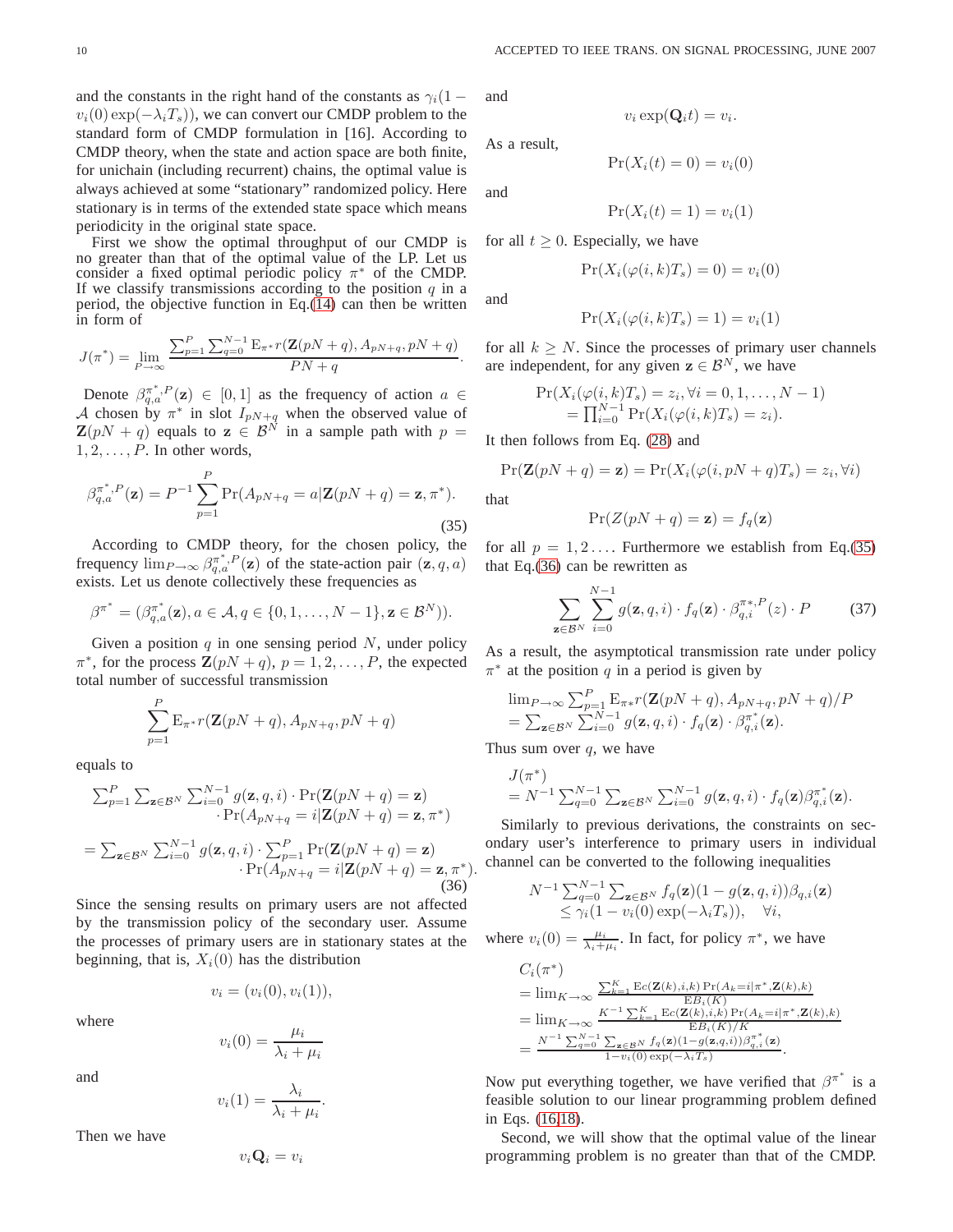and the constants in the right hand of the constants as  $\gamma_i(1$  $v_i(0) \exp(-\lambda_i T_s)$ , we can convert our CMDP problem to the standard form of CMDP formulation in [16]. According to CMDP theory, when the state and action space are both finite, for unichain (including recurrent) chains, the optimal value is always achieved at some "stationary" randomized policy. Here stationary is in terms of the extended state space which means periodicity in the original state space.

First we show the optimal throughput of our CMDP is no greater than that of the optimal value of the LP. Let us consider a fixed optimal periodic policy  $\pi^*$  of the CMDP. If we classify transmissions according to the position  $q$  in a period, the objective function in Eq.[\(14\)](#page-3-2) can then be written in form of

$$
J(\pi^*) = \lim_{P \to \infty} \frac{\sum_{p=1}^{P} \sum_{q=0}^{N-1} E_{\pi^*} r(\mathbf{Z}(pN+q), A_{pN+q}, pN+q)}{PN+q}.
$$

Denote  $\beta_{q,a}^{\pi^*,P}(\mathbf{z}) \in [0,1]$  as the frequency of action  $a \in$ A chosen by  $\pi^*$  in slot  $I_{pN+q}$  when the observed value of  $\mathbf{Z}(pN + q)$  equals to  $\mathbf{z} \in \mathcal{B}^N$  in a sample path with  $p =$  $1, 2, \ldots, P$ . In other words,

<span id="page-9-0"></span>
$$
\beta_{q,a}^{\pi^*,P}(\mathbf{z}) = P^{-1} \sum_{p=1}^P \Pr(A_{pN+q} = a | \mathbf{Z}(pN+q) = \mathbf{z}, \pi^*).
$$
\n(35)

According to CMDP theory, for the chosen policy, the frequency  $\lim_{P\to\infty} \beta_{q,a}^{\pi^*,P}(\mathbf{z})$  of the state-action pair  $(\mathbf{z}, q, a)$ exists. Let us denote collectively these frequencies as

$$
\beta^{\pi^*} = (\beta^{\pi^*}_{q,a}(\mathbf{z}), a \in \mathcal{A}, q \in \{0, 1, \dots, N-1\}, \mathbf{z} \in \mathcal{B}^N)).
$$

Given a position  $q$  in one sensing period  $N$ , under policy  $\pi^*$ , for the process  $\mathbf{Z}(pN+q)$ ,  $p = 1, 2, ..., P$ , the expected total number of successful transmission

$$
\sum_{p=1}^{P} \mathbf{E}_{\pi^*} r(\mathbf{Z}(pN+q), A_{pN+q}, pN+q)
$$

equals to

$$
\sum_{p=1}^{P} \sum_{\mathbf{z} \in \mathcal{B}^{N}} \sum_{i=0}^{N-1} g(\mathbf{z}, q, i) \cdot \Pr(\mathbf{Z}(pN + q) = \mathbf{z})
$$
  
\n
$$
\cdot \Pr(A_{pN+q} = i | \mathbf{Z}(pN + q) = \mathbf{z}, \pi^{*})
$$
  
\n
$$
= \sum_{\mathbf{z} \in \mathcal{B}^{N}} \sum_{i=0}^{N-1} g(\mathbf{z}, q, i) \cdot \sum_{p=1}^{P} \Pr(\mathbf{Z}(pN + q) = \mathbf{z})
$$
  
\n
$$
\cdot \Pr(A_{pN+q} = i | \mathbf{Z}(pN + q) = \mathbf{z}, \pi^{*}
$$
\n(36)

<span id="page-9-1"></span>Since the sensing results on primary users are not affected by the transmission policy of the secondary user. Assume the processes of primary users are in stationary states at the beginning, that is,  $X_i(0)$  has the distribution

$$
v_i = (v_i(0), v_i(1)),
$$

where

$$
v_i(0) = \frac{\mu_i}{\lambda_i + \mu_i}
$$

and

$$
v_i(1) = \frac{\lambda_i}{\lambda_i + \mu_i}.
$$

Then we have

$$
v_i \mathbf{Q}_i = v_i
$$

and

$$
v_i \exp(\mathbf{Q}_i t) = v_i.
$$

and

As a result,

$$
\Pr(X_i(t) = 1) = v_i(1)
$$

 $Pr(X_i(t) = 0) = v_i(0)$ 

for all  $t \geq 0$ . Especially, we have

$$
Pr(X_i(\varphi(i,k)T_s) = 0) = v_i(0)
$$

and

$$
Pr(X_i(\varphi(i,k)T_s) = 1) = v_i(1)
$$

for all  $k \geq N$ . Since the processes of primary user channels are independent, for any given  $z \in \mathcal{B}^N$ , we have

$$
\Pr(X_i(\varphi(i,k)T_s) = z_i, \forall i = 0, 1, ..., N - 1) \n= \prod_{i=0}^{N-1} \Pr(X_i(\varphi(i,k)T_s) = z_i).
$$

It then follows from Eq. [\(28\)](#page-8-1) and

$$
Pr(\mathbf{Z}(pN + q) = \mathbf{z}) = Pr(X_i(\varphi(i, pN + q)T_s) = z_i, \forall i)
$$

that

).

$$
Pr(Z(pN + q) = \mathbf{z}) = f_q(\mathbf{z})
$$

for all  $p = 1, 2, \ldots$  Furthermore we establish from Eq.[\(35\)](#page-9-0) that Eq.[\(36\)](#page-9-1) can be rewritten as

$$
\sum_{\mathbf{z}\in\mathcal{B}^N}\sum_{i=0}^{N-1}g(\mathbf{z},q,i)\cdot f_q(\mathbf{z})\cdot\beta_{q,i}^{\pi^*,P}(z)\cdot P\tag{37}
$$

As a result, the asymptotical transmission rate under policy  $\pi^*$  at the position q in a period is given by

$$
\lim_{P \to \infty} \sum_{p=1}^{P} \mathbf{E}_{\pi*} r(\mathbf{Z}(pN+q), A_{pN+q}, pN+q)/P
$$
  
= 
$$
\sum_{\mathbf{z} \in \mathcal{B}^N} \sum_{i=0}^{N-1} g(\mathbf{z}, q, i) \cdot f_q(\mathbf{z}) \cdot \beta_{q,i}^{\pi^*}(\mathbf{z}).
$$

Thus sum over  $q$ , we have

$$
J(\pi^*)
$$
  
=  $N^{-1} \sum_{q=0}^{N-1} \sum_{\mathbf{z} \in \mathcal{B}^N} \sum_{i=0}^{N-1} g(\mathbf{z}, q, i) \cdot f_q(\mathbf{z}) \beta_{q, i}^{\pi^*}(\mathbf{z}).$ 

Similarly to previous derivations, the constraints on secondary user's interference to primary users in individual channel can be converted to the following inequalities

$$
N^{-1} \sum_{q=0}^{N-1} \sum_{\mathbf{z} \in \mathcal{B}^N} f_q(\mathbf{z}) (1 - g(\mathbf{z}, q, i)) \beta_{q,i}(\mathbf{z})
$$
  
\$\leq \gamma\_i (1 - v\_i(0) \exp(-\lambda\_i T\_s)), \quad \forall i\$,

where  $v_i(0) = \frac{\mu_i}{\lambda_i + \mu_i}$ . In fact, for policy  $\pi^*$ , we have

$$
C_i(\pi^*)
$$
  
=  $\lim_{K \to \infty} \frac{\sum_{k=1}^{K} \mathbf{E}c(\mathbf{Z}(k), i, k) \Pr(A_k = i | \pi^*, \mathbf{Z}(k), k)}{\mathbf{E}B_i(K)}$   
=  $\lim_{K \to \infty} \frac{K^{-1} \sum_{k=1}^{K} \mathbf{E}c(\mathbf{Z}(k), i, k) \Pr(A_k = i | \pi^*, \mathbf{Z}(k), k)}{\mathbf{E}B_i(K)/K}$   
=  $\frac{N^{-1} \sum_{q=0}^{N-1} \sum_{\mathbf{z} \in \mathcal{B}^N} f_q(\mathbf{z})(1 - g(\mathbf{z}, q, i)) \beta_{q, i}^{T^*}(\mathbf{z})}{1 - v_i(0) \exp(-\lambda_i T_s)}.$ 

Now put everything together, we have verified that  $\beta^{\pi^*}$  is a feasible solution to our linear programming problem defined in Eqs. [\(16](#page-4-1)[,18\)](#page-4-2).

Second, we will show that the optimal value of the linear programming problem is no greater than that of the CMDP.